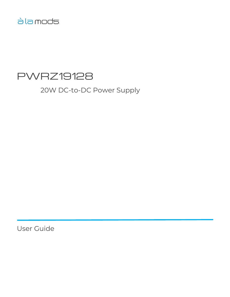# àla mods

# PWRZ19128

20W DC-to-DC Power Supply

User Guide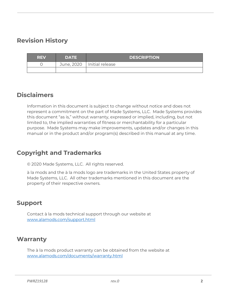## <span id="page-1-0"></span>**Revision History**

| <b>REV</b> | <b>DATE</b> | <b>DESCRIPTION</b>           |
|------------|-------------|------------------------------|
|            |             | June, 2020   Initial release |
|            |             |                              |

#### <span id="page-1-1"></span>**Disclaimers**

Information in this document is subject to change without notice and does not represent a commitment on the part of Made Systems, LLC. Made Systems provides this document "as is," without warranty, expressed or implied, including, but not limited to, the implied warranties of fitness or merchantability for a particular purpose. Made Systems may make improvements, updates and/or changes in this manual or in the product and/or program(s) described in this manual at any time.

## <span id="page-1-2"></span>**Copyright and Trademarks**

© 2020 Made Systems, LLC. All rights reserved.

à la mods and the à la mods logo are trademarks in the United States property of Made Systems, LLC. All other trademarks mentioned in this document are the property of their respective owners.

#### <span id="page-1-3"></span>**Support**

Contact à la mods technical support through our website at [www.alamods.com/support.html](http://www.alamods.com/support.html)

#### <span id="page-1-4"></span>**Warranty**

The à la mods product warranty can be obtained from the website at [www.alamods.com/documents/warranty.html](http://www.alamods.com/documents/warranty.html)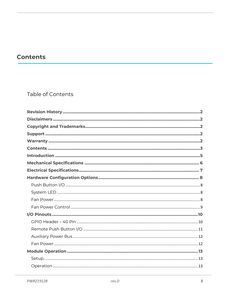# <span id="page-2-0"></span>**Contents**

#### Table of Contents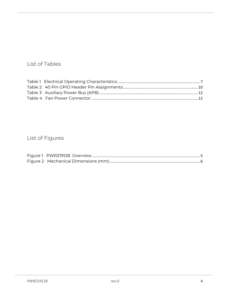#### List of Tables

## List of Figures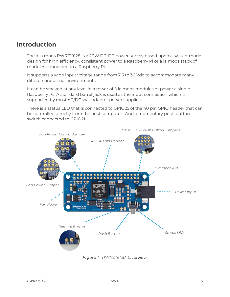#### <span id="page-4-0"></span>**Introduction**

The à la mods PWRZ19128 is a 20W DC-DC power supply based upon a switch-mode design for high efficiency, consistent power to a Raspberry Pi or à la mods stack of modules connected to a Raspberry Pi.

It supports a wide input voltage range from 7.5 to 36 Vdc to accommodate many different industrial environments.

It can be stacked at any level in a tower of à la mods modules or power a single Raspberry Pi. A standard barrel jack is used as the input connection which is supported by most AC/DC wall adapter power supplies.

There is a status LED that is connected to GPIO25 of the 40 pin GPIO header that can be controlled directly from the host computer. And a momentary push button switch connected to GPIO21.



*Figure 1 PWRZ19128 Overview*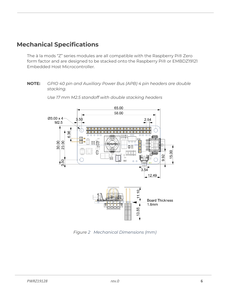## <span id="page-5-0"></span>**Mechanical Specifications**

The à la mods "Z" series modules are all compatible with the Raspberry Pi® Zero form factor and are designed to be stacked onto the Raspberry Pi® or EMBDZ19121 Embedded Host Microcontroller.

#### **NOTE:** *GPIO 40 pin and Auxiliary Power Bus (APB) 4 pin headers are double stacking.*



*Use 17 mm M2.5 standoff with double stacking headers*

<span id="page-5-1"></span>*Figure 2 Mechanical Dimensions (mm)*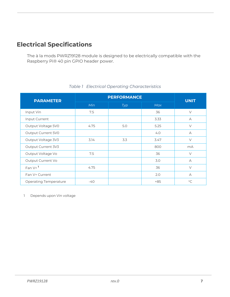# <span id="page-6-0"></span>**Electrical Specifications**

The à la mods PWRZ19128 module is designed to be electrically compatible with the Raspberry Pi® 40 pin GPIO header power.

<span id="page-6-1"></span>

| <b>PARAMETER</b>             | <b>PERFORMANCE</b> | <b>UNIT</b> |            |             |
|------------------------------|--------------------|-------------|------------|-------------|
|                              | Min                | Typ         | <b>Max</b> |             |
| Input Vin                    | 7.5                |             | 36         | $\vee$      |
| Input Current                |                    |             | 3.33       | $\forall$   |
| Output Voltage 5V0           | 4.75               | 5.0         | 5.25       | $\vee$      |
| Output Current 5V0           |                    |             | 4.0        | $\forall$   |
| Output Voltage 3V3           | 3.14               | 3.3         | 3.47       | $\vee$      |
| Output Current 3V3           |                    |             | 800        | mA          |
| Output Voltage Vo            | 7.5                |             | 36         | $\vee$      |
| Output Current Vo            |                    |             | 3.0        | $\forall$   |
| Fan $V+$ <sup>1</sup>        | 4.75               |             | 36         | $\vee$      |
| Fan V+ Current               |                    |             | 2.0        | $\forall$   |
| <b>Operating Temperature</b> | $-40$              |             | $+85$      | $^{\circ}C$ |

#### *Table 1 Electrical Operating Characteristics*

1 Depends upon Vin voltage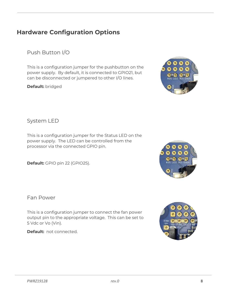#### *PWRZ19128 rev.0* **8**

# <span id="page-7-0"></span>**Hardware Configuration Options**

<span id="page-7-1"></span>Push Button I/O

This is a configuration jumper for the pushbutton on the power supply. By default, it is connected to GPIO21, but can be disconnected or jumpered to other I/O lines.

**Default:** bridged



<span id="page-7-2"></span>System LED

This is a configuration jumper for the Status LED on the power supply. The LED can be controlled from the processor via the connected GPIO pin.

**Default:** GPIO pin 22 (GPIO25).

<span id="page-7-3"></span>Fan Power

This is a configuration jumper to connect the fan power output pin to the appropriate voltage. This can be set to 5 Vdc or Vo (Vin).

**Default:** not connected.





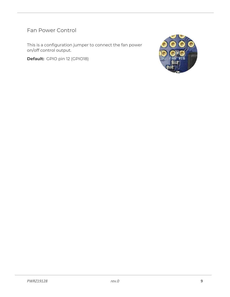<span id="page-8-0"></span>Fan Power Control

This is a configuration jumper to connect the fan power on/off control output.

**Default:** GPIO pin 12 (GPIO18)

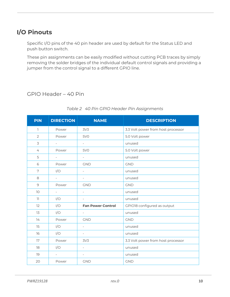# <span id="page-9-0"></span>**I/O Pinouts**

Specific I/O pins of the 40 pin header are used by default for the Status LED and push button switch.

These pin assignments can be easily modified without cutting PCB traces by simply removing the solder bridges of the individual default control signals and providing a jumper from the control signal to a different GPIO line.

#### <span id="page-9-1"></span>GPIO Header – 40 Pin

<span id="page-9-2"></span>

| <b>PIN</b>               | <b>DIRECTION</b>         | <b>NAME</b>              | <b>DESCRIPTION</b>                 |
|--------------------------|--------------------------|--------------------------|------------------------------------|
| 1                        | Power                    | 3V <sub>3</sub>          | 3.3 Volt power from host processor |
| $\overline{2}$           | Power                    | 5V <sub>O</sub>          | 5.0 Volt power                     |
| 3                        | $\overline{\phantom{a}}$ | $\overline{\phantom{a}}$ | unused                             |
| $\overline{4}$           | Power                    | 5V <sub>O</sub>          | 5.0 Volt power                     |
| 5                        | $\overline{a}$           | $\overline{\phantom{a}}$ | unused                             |
| 6                        | Power                    | <b>GND</b>               | <b>GND</b>                         |
| 7                        | I/O                      | $\overline{\phantom{a}}$ | unused                             |
| 8                        | $\overline{\phantom{0}}$ | $\overline{\phantom{a}}$ | unused                             |
| $\mathcal{Q}$            | Power                    | <b>GND</b>               | <b>GND</b>                         |
| 10                       | $\overline{\phantom{0}}$ | $\equiv$                 | unused                             |
| $\overline{\phantom{a}}$ | I/O                      | $\overline{\phantom{a}}$ | unused                             |
| 12                       | I/O                      | <b>Fan Power Control</b> | GPIO18 configured as output        |
| 13                       | I/O                      | $\overline{\phantom{a}}$ | unused                             |
| 14                       | Power                    | <b>GND</b>               | <b>GND</b>                         |
| 15                       | I/O                      | $\overline{a}$           | unused                             |
| 16                       | I/O                      | $\overline{\phantom{a}}$ | unused                             |
| 17                       | Power                    | 3V <sub>3</sub>          | 3.3 Volt power from host processor |
| 18                       | I/O                      | $\overline{\phantom{a}}$ | unused                             |
| 19                       | $\overline{a}$           | $\overline{\phantom{a}}$ | unused                             |
| 20                       | Power                    | <b>GND</b>               | <b>GND</b>                         |

#### *Table 2 40 Pin GPIO Header Pin Assignments*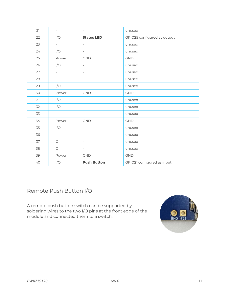| 21 | $\overline{\phantom{a}}$ | $\overline{\phantom{a}}$ | unused                      |
|----|--------------------------|--------------------------|-----------------------------|
| 22 | I/O                      | <b>Status LED</b>        | GPIO25 configured as output |
| 23 | $\frac{1}{2}$            | $\overline{\phantom{a}}$ | unused                      |
| 24 | I/O                      | $\overline{\phantom{a}}$ | unused                      |
| 25 | Power                    | <b>GND</b>               | <b>GND</b>                  |
| 26 | I/O                      | $\bar{a}$                | unused                      |
| 27 | $\overline{\phantom{0}}$ | $\overline{\phantom{a}}$ | unused                      |
| 28 | $\overline{\phantom{a}}$ | $\overline{\phantom{a}}$ | unused                      |
| 29 | I/O                      | $\overline{\phantom{a}}$ | unused                      |
| 30 | Power                    | <b>GND</b>               | <b>GND</b>                  |
| 31 | I/O                      | $\overline{\phantom{a}}$ | unused                      |
| 32 | I/O                      | $\overline{\phantom{a}}$ | unused                      |
| 33 | $\mathbb{L}$             | $\overline{\phantom{a}}$ | unused                      |
| 34 | Power                    | <b>GND</b>               | <b>GND</b>                  |
| 35 | I/O                      | $\overline{\phantom{a}}$ | unused                      |
| 36 | $\mathbf{L}$             | $\overline{\phantom{a}}$ | unused                      |
| 37 | $\bigcirc$               | $\overline{\phantom{a}}$ | unused                      |
| 38 | $\bigcirc$               | $\overline{\phantom{a}}$ | unused                      |
| 39 | Power                    | <b>GND</b>               | <b>GND</b>                  |
| 40 | I/O                      | <b>Push Button</b>       | GPIO21 configured as input  |

<span id="page-10-0"></span>Remote Push Button I/O

A remote push button switch can be supported by soldering wires to the two I/O pins at the front edge of the module and connected them to a switch.

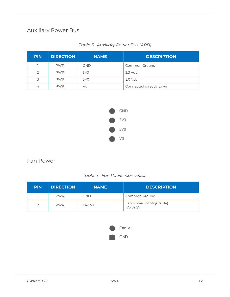#### <span id="page-11-0"></span>Auxiliary Power Bus

<span id="page-11-2"></span>

| <b>PIN</b> | <b>DIRECTION</b> | <b>NAME</b>     | <b>DESCRIPTION</b>        |
|------------|------------------|-----------------|---------------------------|
|            | <b>PWR</b>       | <b>GND</b>      | Common Ground             |
|            | <b>PWR</b>       | 3V <sub>3</sub> | 3.3 Vdc                   |
|            | <b>PWR</b>       | 5V <sub>0</sub> | 5.0 Vdc                   |
| 4          | <b>PWR</b>       | Vo              | Connected directly to Vin |

| Table 3 Auxiliary Power Bus (APB) |
|-----------------------------------|
|                                   |



#### <span id="page-11-1"></span>Fan Power

| Table 4 Fan Power Connector |  |
|-----------------------------|--|
|-----------------------------|--|

<span id="page-11-3"></span>

| <b>PIN</b> | <b>DIRECTION</b> | <b>NAME</b> | <b>DESCRIPTION</b>                     |
|------------|------------------|-------------|----------------------------------------|
|            | <b>PWR</b>       | gnd         | Common Ground                          |
|            | <b>PWR</b>       | Fan V+      | Fan power (configurable)<br>(Vo or 5V) |